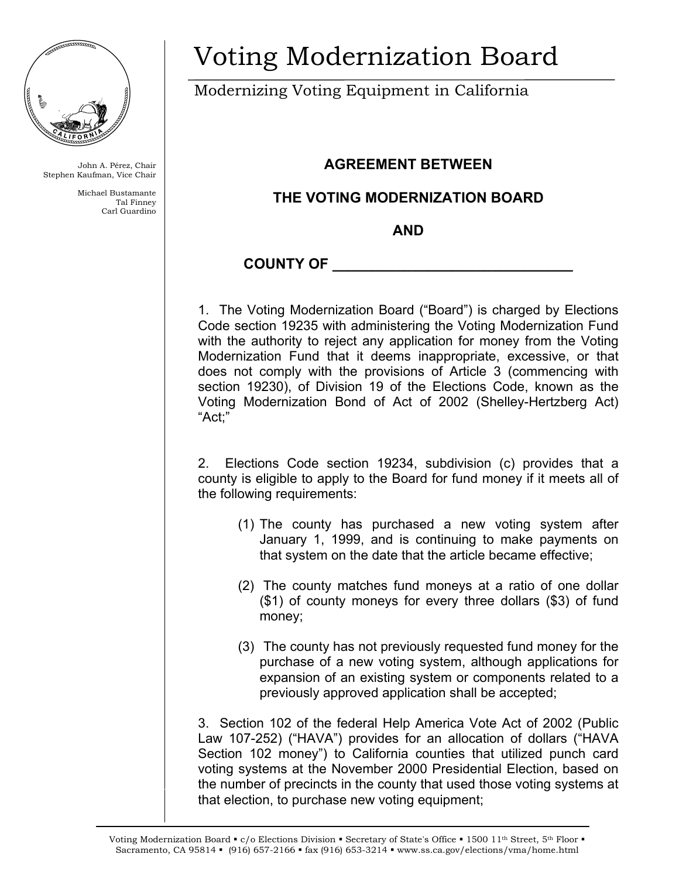

John A. Pérez, Chair Stephen Kaufman, Vice Chair

> Michael Bustamante Tal Finney Carl Guardino

## Voting Modernization Board

Modernizing Voting Equipment in California

## **AGREEMENT BETWEEN**

## **THE VOTING MODERNIZATION BOARD**

**AND** 

## **COUNTY OF \_\_\_\_\_\_\_\_\_\_\_\_\_\_\_\_\_\_\_\_\_\_\_\_\_\_\_\_\_\_**

1. The Voting Modernization Board ("Board") is charged by Elections Code section 19235 with administering the Voting Modernization Fund with the authority to reject any application for money from the Voting Modernization Fund that it deems inappropriate, excessive, or that does not comply with the provisions of Article 3 (commencing with section 19230), of Division 19 of the Elections Code, known as the Voting Modernization Bond of Act of 2002 (Shelley-Hertzberg Act) "Act;"

2.Elections Code section 19234, subdivision (c) provides that a county is eligible to apply to the Board for fund money if it meets all of the following requirements:

- (1) The county has purchased a new voting system after January 1, 1999, and is continuing to make payments on that system on the date that the article became effective;
- (2) The county matches fund moneys at a ratio of one dollar (\$1) of county moneys for every three dollars (\$3) of fund money;
- (3) The county has not previously requested fund money for the purchase of a new voting system, although applications for expansion of an existing system or components related to a previously approved application shall be accepted;

3. Section 102 of the federal Help America Vote Act of 2002 (Public Law 107-252) ("HAVA") provides for an allocation of dollars ("HAVA Section 102 money") to California counties that utilized punch card voting systems at the November 2000 Presidential Election, based on the number of precincts in the county that used those voting systems at that election, to purchase new voting equipment;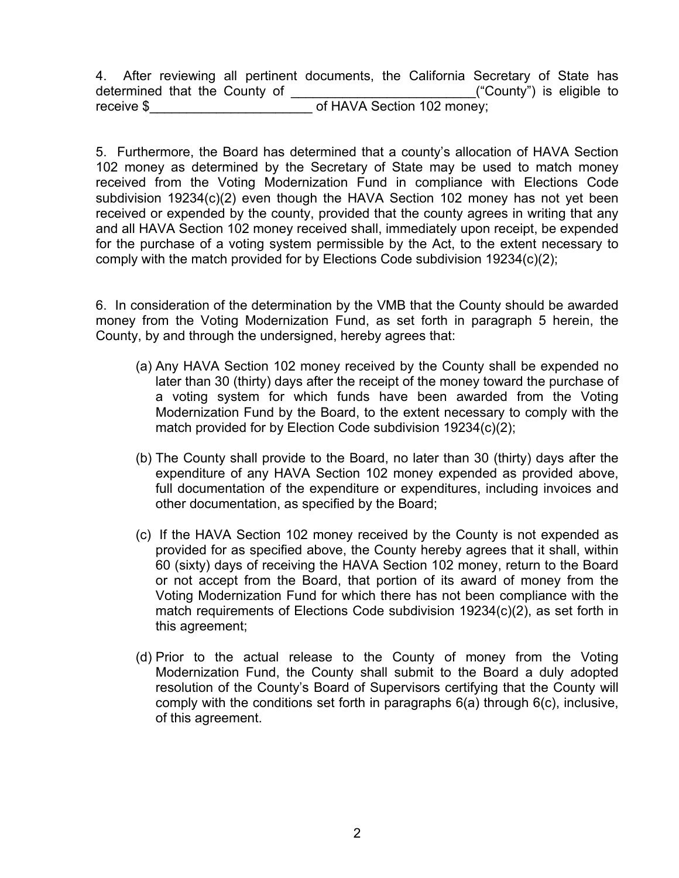4. After reviewing all pertinent documents, the California Secretary of State has determined that the County of **Example 2** ("County") is eligible to receive \$ The Contract of HAVA Section 102 money;

5. Furthermore, the Board has determined that a county's allocation of HAVA Section 102 money as determined by the Secretary of State may be used to match money received from the Voting Modernization Fund in compliance with Elections Code subdivision 19234(c)(2) even though the HAVA Section 102 money has not yet been received or expended by the county, provided that the county agrees in writing that any and all HAVA Section 102 money received shall, immediately upon receipt, be expended for the purchase of a voting system permissible by the Act, to the extent necessary to comply with the match provided for by Elections Code subdivision 19234(c)(2);

6. In consideration of the determination by the VMB that the County should be awarded money from the Voting Modernization Fund, as set forth in paragraph 5 herein, the County, by and through the undersigned, hereby agrees that:

- (a) Any HAVA Section 102 money received by the County shall be expended no later than 30 (thirty) days after the receipt of the money toward the purchase of a voting system for which funds have been awarded from the Voting Modernization Fund by the Board, to the extent necessary to comply with the match provided for by Election Code subdivision 19234(c)(2);
- (b) The County shall provide to the Board, no later than 30 (thirty) days after the expenditure of any HAVA Section 102 money expended as provided above, full documentation of the expenditure or expenditures, including invoices and other documentation, as specified by the Board;
- (c) If the HAVA Section 102 money received by the County is not expended as provided for as specified above, the County hereby agrees that it shall, within 60 (sixty) days of receiving the HAVA Section 102 money, return to the Board or not accept from the Board, that portion of its award of money from the Voting Modernization Fund for which there has not been compliance with the match requirements of Elections Code subdivision 19234(c)(2), as set forth in this agreement;
- (d) Prior to the actual release to the County of money from the Voting Modernization Fund, the County shall submit to the Board a duly adopted resolution of the County's Board of Supervisors certifying that the County will comply with the conditions set forth in paragraphs 6(a) through 6(c), inclusive, of this agreement.